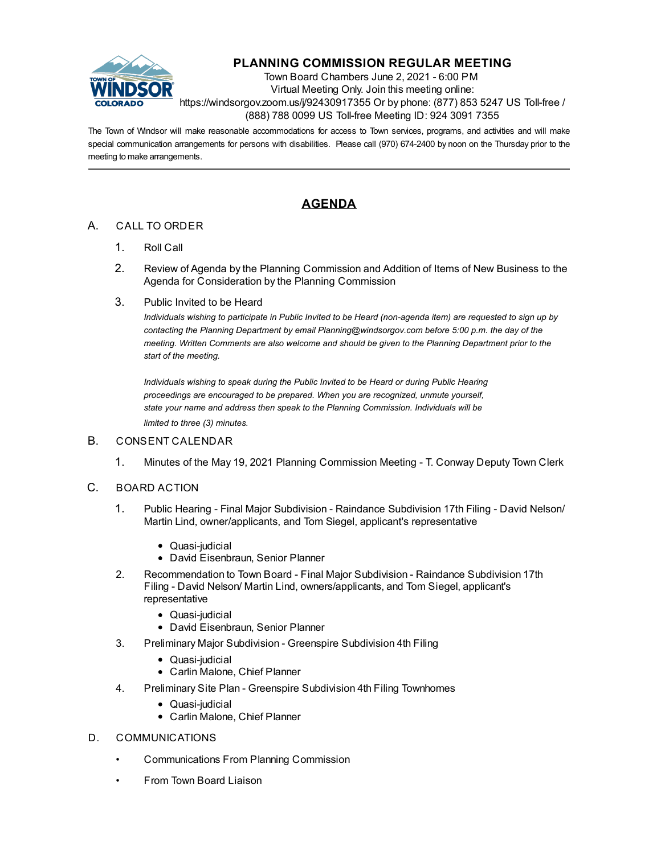

## **PLANNING COMMISSION REGULAR MEETING**

Town Board Chambers June 2, 2021 - 6:00 PM Virtual Meeting Only. Join this meeting online: https://windsorgov.zoom.us/j/92430917355 Or by phone: (877) 853 5247 US Toll-free / (888) 788 0099 US Toll-free Meeting ID: 924 3091 7355

The Town of Windsor will make reasonable accommodations for access to Town services, programs, and activities and will make special communication arrangements for persons with disabilities. Please call (970) 674-2400 by noon on the Thursday prior to the meeting to make arrangements.

## **AGENDA**

## A. CALL TO ORDER

- 1. Roll Call
- 2. Review of Agenda by the Planning Commission and Addition of Items of New Business to the Agenda for Consideration by the Planning Commission
- 3. Public Invited to be Heard

*Individuals wishing to participate in Public Invited to be Heard (non-agenda item) are requested to sign up by contacting the Planning Department by email Planning@windsorgov.com before 5:00 p.m. the day of the meeting. Written Comments are also welcome and should be given to the Planning Department prior to the start of the meeting.*

*Individuals wishing to speak during the Public Invited to be Heard or during Public Hearing proceedings are encouraged to be prepared. When you are recognized, unmute yourself, state your name and address then speak to the Planning Commission. Individuals will be limited to three (3) minutes.*

## B. CONSENT CALENDAR

- 1. [Minutes of the May 19, 2021 Planning Commission Meeting T. Conway Deputy Town Clerk](file:///C:/Windows/TEMP/CoverSheet.aspx?ItemID=1457&MeetingID=238)
- C. BOARD ACTION
	- 1. Public Hearing Final Major Subdivision Raindance Subdivision 17th Filing David Nelson/ [Martin Lind, owner/applicants, and Tom Siegel, applicant's representative](file:///C:/Windows/TEMP/CoverSheet.aspx?ItemID=1447&MeetingID=238)
		- Quasi-judicial
		- David Eisenbraun, Senior Planner
	- 2. [Recommendation to Town Board Final Major Subdivision Raindance Subdivision 17th](file:///C:/Windows/TEMP/CoverSheet.aspx?ItemID=1448&MeetingID=238) Filing - David Nelson/ Martin Lind, owners/applicants, and Tom Siegel, applicant's representative
		- Quasi-judicial
		- David Eisenbraun, Senior Planner
	- 3. [Preliminary Major Subdivision Greenspire Subdivision 4th Filing](file:///C:/Windows/TEMP/CoverSheet.aspx?ItemID=1453&MeetingID=238)
		- Quasi-judicial
		- Carlin Malone, Chief Planner
	- 4. [Preliminary Site Plan Greenspire Subdivision 4th Filing Townhomes](file:///C:/Windows/TEMP/CoverSheet.aspx?ItemID=1454&MeetingID=238)
		- Quasi-judicial
		- Carlin Malone, Chief Planner
- D. COMMUNICATIONS
	- Communications From Planning Commission
	- From Town Board Liaison